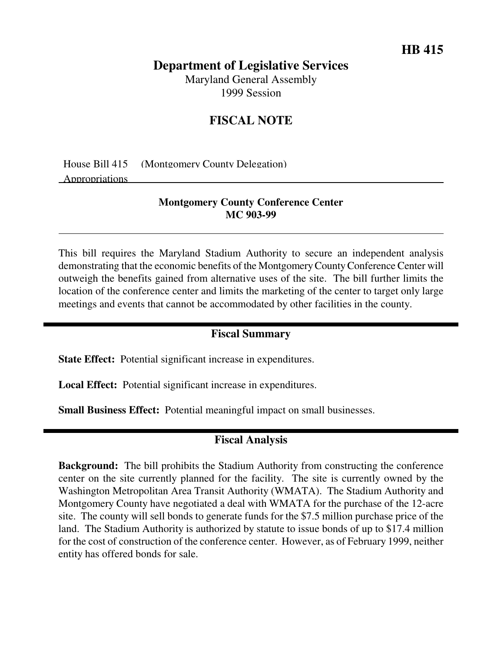## **Department of Legislative Services**

Maryland General Assembly 1999 Session

# **FISCAL NOTE**

House Bill 415 (Montgomery County Delegation) Appropriations

### **Montgomery County Conference Center MC 903-99**

This bill requires the Maryland Stadium Authority to secure an independent analysis demonstrating that the economic benefits of the MontgomeryCountyConference Center will outweigh the benefits gained from alternative uses of the site. The bill further limits the location of the conference center and limits the marketing of the center to target only large meetings and events that cannot be accommodated by other facilities in the county.

#### **Fiscal Summary**

**State Effect:** Potential significant increase in expenditures.

**Local Effect:** Potential significant increase in expenditures.

**Small Business Effect:** Potential meaningful impact on small businesses.

### **Fiscal Analysis**

**Background:** The bill prohibits the Stadium Authority from constructing the conference center on the site currently planned for the facility. The site is currently owned by the Washington Metropolitan Area Transit Authority (WMATA). The Stadium Authority and Montgomery County have negotiated a deal with WMATA for the purchase of the 12-acre site. The county will sell bonds to generate funds for the \$7.5 million purchase price of the land. The Stadium Authority is authorized by statute to issue bonds of up to \$17.4 million for the cost of construction of the conference center. However, as of February 1999, neither entity has offered bonds for sale.